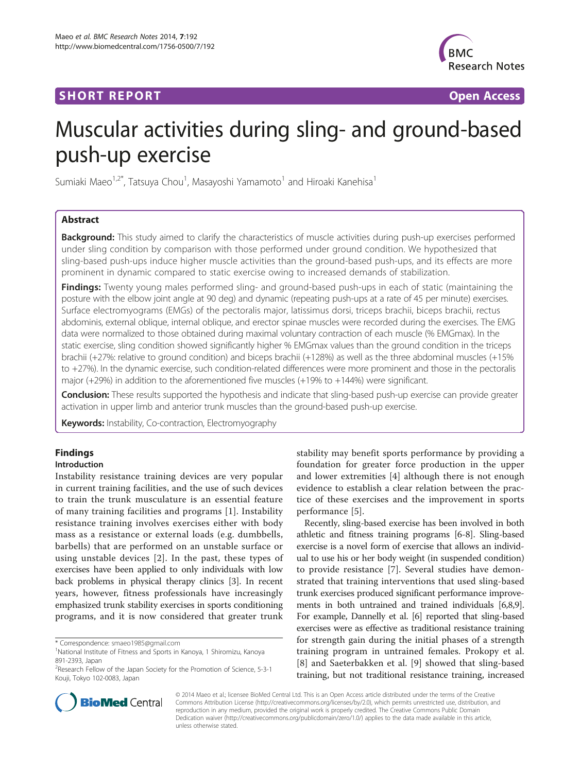## **SHORT REPORT SHORT CONSUMING ACCESS**



# Muscular activities during sling- and ground-based push-up exercise

Sumiaki Maeo<sup>1,2\*</sup>, Tatsuya Chou<sup>1</sup>, Masayoshi Yamamoto<sup>1</sup> and Hiroaki Kanehisa<sup>1</sup>

## Abstract

Background: This study aimed to clarify the characteristics of muscle activities during push-up exercises performed under sling condition by comparison with those performed under ground condition. We hypothesized that sling-based push-ups induce higher muscle activities than the ground-based push-ups, and its effects are more prominent in dynamic compared to static exercise owing to increased demands of stabilization.

Findings: Twenty young males performed sling- and ground-based push-ups in each of static (maintaining the posture with the elbow joint angle at 90 deg) and dynamic (repeating push-ups at a rate of 45 per minute) exercises. Surface electromyograms (EMGs) of the pectoralis major, latissimus dorsi, triceps brachii, biceps brachii, rectus abdominis, external oblique, internal oblique, and erector spinae muscles were recorded during the exercises. The EMG data were normalized to those obtained during maximal voluntary contraction of each muscle (% EMGmax). In the static exercise, sling condition showed significantly higher % EMGmax values than the ground condition in the triceps brachii (+27%: relative to ground condition) and biceps brachii (+128%) as well as the three abdominal muscles (+15% to +27%). In the dynamic exercise, such condition-related differences were more prominent and those in the pectoralis major (+29%) in addition to the aforementioned five muscles (+19% to +144%) were significant.

**Conclusion:** These results supported the hypothesis and indicate that sling-based push-up exercise can provide greater activation in upper limb and anterior trunk muscles than the ground-based push-up exercise.

**Keywords:** Instability, Co-contraction, Electromyography

## Findings

## Introduction

Instability resistance training devices are very popular in current training facilities, and the use of such devices to train the trunk musculature is an essential feature of many training facilities and programs [\[1\]](#page-5-0). Instability resistance training involves exercises either with body mass as a resistance or external loads (e.g. dumbbells, barbells) that are performed on an unstable surface or using unstable devices [[2](#page-5-0)]. In the past, these types of exercises have been applied to only individuals with low back problems in physical therapy clinics [[3\]](#page-5-0). In recent years, however, fitness professionals have increasingly emphasized trunk stability exercises in sports conditioning programs, and it is now considered that greater trunk



Recently, sling-based exercise has been involved in both athletic and fitness training programs [[6-8\]](#page-6-0). Sling-based exercise is a novel form of exercise that allows an individual to use his or her body weight (in suspended condition) to provide resistance [\[7](#page-6-0)]. Several studies have demonstrated that training interventions that used sling-based trunk exercises produced significant performance improvements in both untrained and trained individuals [\[6,8,9](#page-6-0)]. For example, Dannelly et al. [\[6\]](#page-6-0) reported that sling-based exercises were as effective as traditional resistance training for strength gain during the initial phases of a strength training program in untrained females. Prokopy et al. [[8\]](#page-6-0) and Saeterbakken et al. [\[9](#page-6-0)] showed that sling-based training, but not traditional resistance training, increased



© 2014 Maeo et al.; licensee BioMed Central Ltd. This is an Open Access article distributed under the terms of the Creative Commons Attribution License [\(http://creativecommons.org/licenses/by/2.0\)](http://creativecommons.org/licenses/by/2.0), which permits unrestricted use, distribution, and reproduction in any medium, provided the original work is properly credited. The Creative Commons Public Domain Dedication waiver [\(http://creativecommons.org/publicdomain/zero/1.0/](http://creativecommons.org/publicdomain/zero/1.0/)) applies to the data made available in this article, unless otherwise stated.

<sup>\*</sup> Correspondence: [smaeo1985@gmail.com](mailto:smaeo1985@gmail.com) <sup>1</sup>

<sup>&</sup>lt;sup>1</sup>National Institute of Fitness and Sports in Kanoya, 1 Shiromizu, Kanoya 891-2393, Japan

<sup>&</sup>lt;sup>2</sup> Research Fellow of the Japan Society for the Promotion of Science, 5-3-1 Kouji, Tokyo 102-0083, Japan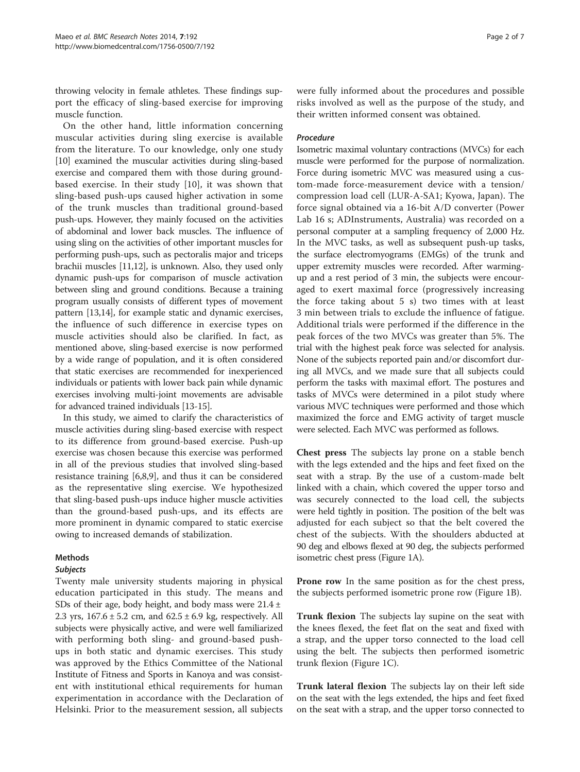throwing velocity in female athletes. These findings support the efficacy of sling-based exercise for improving muscle function.

On the other hand, little information concerning muscular activities during sling exercise is available from the literature. To our knowledge, only one study [[10](#page-6-0)] examined the muscular activities during sling-based exercise and compared them with those during groundbased exercise. In their study [\[10](#page-6-0)], it was shown that sling-based push-ups caused higher activation in some of the trunk muscles than traditional ground-based push-ups. However, they mainly focused on the activities of abdominal and lower back muscles. The influence of using sling on the activities of other important muscles for performing push-ups, such as pectoralis major and triceps brachii muscles [[11,12\]](#page-6-0), is unknown. Also, they used only dynamic push-ups for comparison of muscle activation between sling and ground conditions. Because a training program usually consists of different types of movement pattern [[13,14](#page-6-0)], for example static and dynamic exercises, the influence of such difference in exercise types on muscle activities should also be clarified. In fact, as mentioned above, sling-based exercise is now performed by a wide range of population, and it is often considered that static exercises are recommended for inexperienced individuals or patients with lower back pain while dynamic exercises involving multi-joint movements are advisable for advanced trained individuals [\[13-15\]](#page-6-0).

In this study, we aimed to clarify the characteristics of muscle activities during sling-based exercise with respect to its difference from ground-based exercise. Push-up exercise was chosen because this exercise was performed in all of the previous studies that involved sling-based resistance training [[6,8,9\]](#page-6-0), and thus it can be considered as the representative sling exercise. We hypothesized that sling-based push-ups induce higher muscle activities than the ground-based push-ups, and its effects are more prominent in dynamic compared to static exercise owing to increased demands of stabilization.

## Methods

#### Subjects

Twenty male university students majoring in physical education participated in this study. The means and SDs of their age, body height, and body mass were  $21.4 \pm 1$ 2.3 yrs,  $167.6 \pm 5.2$  cm, and  $62.5 \pm 6.9$  kg, respectively. All subjects were physically active, and were well familiarized with performing both sling- and ground-based pushups in both static and dynamic exercises. This study was approved by the Ethics Committee of the National Institute of Fitness and Sports in Kanoya and was consistent with institutional ethical requirements for human experimentation in accordance with the Declaration of Helsinki. Prior to the measurement session, all subjects were fully informed about the procedures and possible risks involved as well as the purpose of the study, and their written informed consent was obtained.

## Procedure

Isometric maximal voluntary contractions (MVCs) for each muscle were performed for the purpose of normalization. Force during isometric MVC was measured using a custom-made force-measurement device with a tension/ compression load cell (LUR-A-SA1; Kyowa, Japan). The force signal obtained via a 16-bit A/D converter (Power Lab 16 s; ADInstruments, Australia) was recorded on a personal computer at a sampling frequency of 2,000 Hz. In the MVC tasks, as well as subsequent push-up tasks, the surface electromyograms (EMGs) of the trunk and upper extremity muscles were recorded. After warmingup and a rest period of 3 min, the subjects were encouraged to exert maximal force (progressively increasing the force taking about 5 s) two times with at least 3 min between trials to exclude the influence of fatigue. Additional trials were performed if the difference in the peak forces of the two MVCs was greater than 5%. The trial with the highest peak force was selected for analysis. None of the subjects reported pain and/or discomfort during all MVCs, and we made sure that all subjects could perform the tasks with maximal effort. The postures and tasks of MVCs were determined in a pilot study where various MVC techniques were performed and those which maximized the force and EMG activity of target muscle were selected. Each MVC was performed as follows.

Chest press The subjects lay prone on a stable bench with the legs extended and the hips and feet fixed on the seat with a strap. By the use of a custom-made belt linked with a chain, which covered the upper torso and was securely connected to the load cell, the subjects were held tightly in position. The position of the belt was adjusted for each subject so that the belt covered the chest of the subjects. With the shoulders abducted at 90 deg and elbows flexed at 90 deg, the subjects performed isometric chest press (Figure [1A](#page-2-0)).

**Prone row** In the same position as for the chest press, the subjects performed isometric prone row (Figure [1B](#page-2-0)).

**Trunk flexion** The subjects lay supine on the seat with the knees flexed, the feet flat on the seat and fixed with a strap, and the upper torso connected to the load cell using the belt. The subjects then performed isometric trunk flexion (Figure [1C](#page-2-0)).

Trunk lateral flexion The subjects lay on their left side on the seat with the legs extended, the hips and feet fixed on the seat with a strap, and the upper torso connected to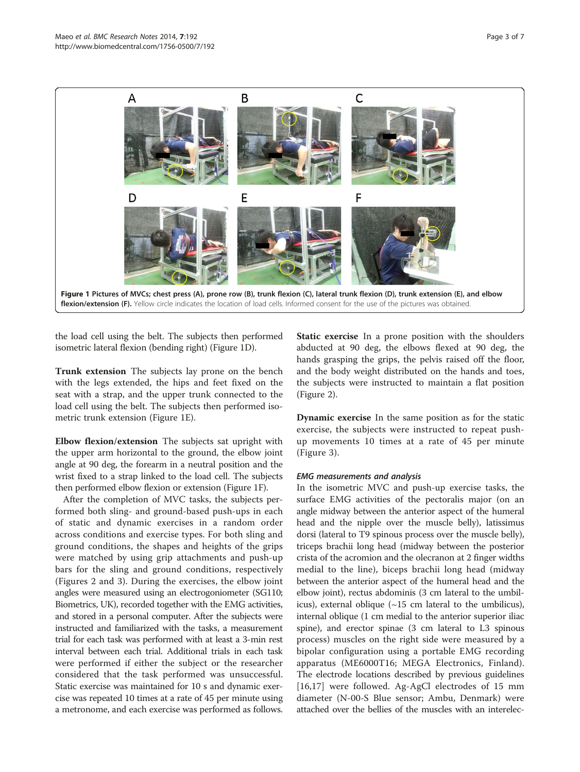<span id="page-2-0"></span>

the load cell using the belt. The subjects then performed isometric lateral flexion (bending right) (Figure 1D).

Trunk extension The subjects lay prone on the bench with the legs extended, the hips and feet fixed on the seat with a strap, and the upper trunk connected to the load cell using the belt. The subjects then performed isometric trunk extension (Figure 1E).

Elbow flexion/extension The subjects sat upright with the upper arm horizontal to the ground, the elbow joint angle at 90 deg, the forearm in a neutral position and the wrist fixed to a strap linked to the load cell. The subjects then performed elbow flexion or extension (Figure 1F).

After the completion of MVC tasks, the subjects performed both sling- and ground-based push-ups in each of static and dynamic exercises in a random order across conditions and exercise types. For both sling and ground conditions, the shapes and heights of the grips were matched by using grip attachments and push-up bars for the sling and ground conditions, respectively (Figures [2](#page-3-0) and [3\)](#page-3-0). During the exercises, the elbow joint angles were measured using an electrogoniometer (SG110; Biometrics, UK), recorded together with the EMG activities, and stored in a personal computer. After the subjects were instructed and familiarized with the tasks, a measurement trial for each task was performed with at least a 3-min rest interval between each trial. Additional trials in each task were performed if either the subject or the researcher considered that the task performed was unsuccessful. Static exercise was maintained for 10 s and dynamic exercise was repeated 10 times at a rate of 45 per minute using a metronome, and each exercise was performed as follows.

Static exercise In a prone position with the shoulders abducted at 90 deg, the elbows flexed at 90 deg, the hands grasping the grips, the pelvis raised off the floor, and the body weight distributed on the hands and toes, the subjects were instructed to maintain a flat position (Figure [2\)](#page-3-0).

Dynamic exercise In the same position as for the static exercise, the subjects were instructed to repeat pushup movements 10 times at a rate of 45 per minute (Figure [3](#page-3-0)).

#### EMG measurements and analysis

In the isometric MVC and push-up exercise tasks, the surface EMG activities of the pectoralis major (on an angle midway between the anterior aspect of the humeral head and the nipple over the muscle belly), latissimus dorsi (lateral to T9 spinous process over the muscle belly), triceps brachii long head (midway between the posterior crista of the acromion and the olecranon at 2 finger widths medial to the line), biceps brachii long head (midway between the anterior aspect of the humeral head and the elbow joint), rectus abdominis (3 cm lateral to the umbilicus), external oblique  $(\sim 15 \text{ cm})$  lateral to the umbilicus), internal oblique (1 cm medial to the anterior superior iliac spine), and erector spinae (3 cm lateral to L3 spinous process) muscles on the right side were measured by a bipolar configuration using a portable EMG recording apparatus (ME6000T16; MEGA Electronics, Finland). The electrode locations described by previous guidelines [[16,17](#page-6-0)] were followed. Ag-AgCl electrodes of 15 mm diameter (N-00-S Blue sensor; Ambu, Denmark) were attached over the bellies of the muscles with an interelec-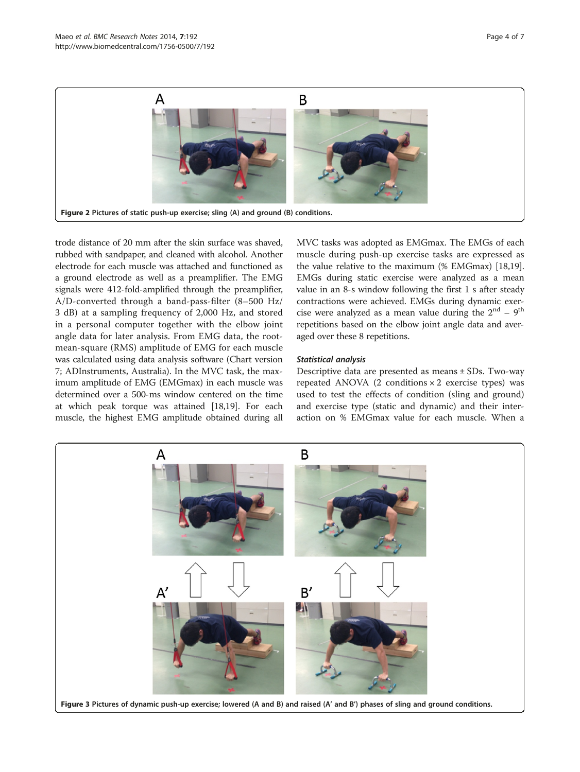<span id="page-3-0"></span>

trode distance of 20 mm after the skin surface was shaved, rubbed with sandpaper, and cleaned with alcohol. Another electrode for each muscle was attached and functioned as a ground electrode as well as a preamplifier. The EMG signals were 412-fold-amplified through the preamplifier, A/D-converted through a band-pass-filter (8–500 Hz/ 3 dB) at a sampling frequency of 2,000 Hz, and stored in a personal computer together with the elbow joint angle data for later analysis. From EMG data, the rootmean-square (RMS) amplitude of EMG for each muscle was calculated using data analysis software (Chart version 7; ADInstruments, Australia). In the MVC task, the maximum amplitude of EMG (EMGmax) in each muscle was determined over a 500-ms window centered on the time at which peak torque was attained [\[18,19](#page-6-0)]. For each muscle, the highest EMG amplitude obtained during all

MVC tasks was adopted as EMGmax. The EMGs of each muscle during push-up exercise tasks are expressed as the value relative to the maximum (% EMGmax) [\[18,19](#page-6-0)]. EMGs during static exercise were analyzed as a mean value in an 8-s window following the first 1 s after steady contractions were achieved. EMGs during dynamic exercise were analyzed as a mean value during the  $2^{nd}$  – 9<sup>th</sup> repetitions based on the elbow joint angle data and averaged over these 8 repetitions.

## Statistical analysis

Descriptive data are presented as means ± SDs. Two-way repeated ANOVA (2 conditions  $\times$  2 exercise types) was used to test the effects of condition (sling and ground) and exercise type (static and dynamic) and their interaction on % EMGmax value for each muscle. When a

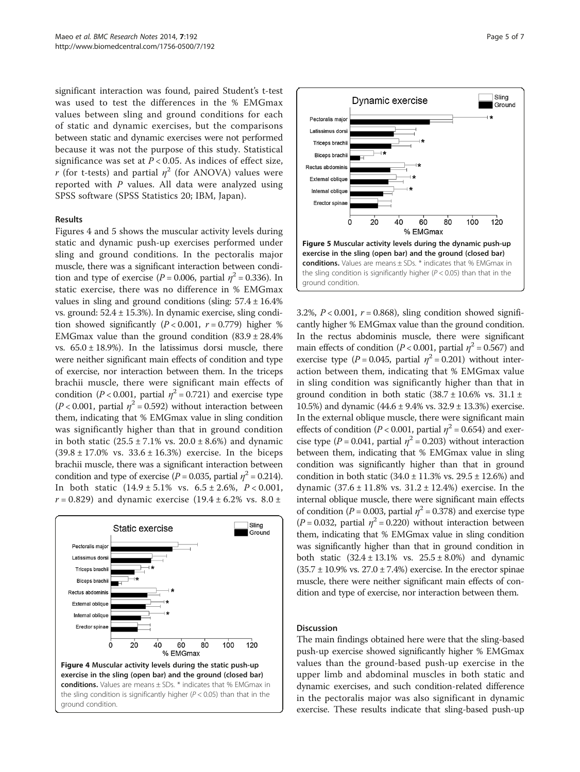<span id="page-4-0"></span>significant interaction was found, paired Student's t-test was used to test the differences in the % EMGmax values between sling and ground conditions for each of static and dynamic exercises, but the comparisons between static and dynamic exercises were not performed because it was not the purpose of this study. Statistical significance was set at  $P < 0.05$ . As indices of effect size, r (for t-tests) and partial  $\eta^2$  (for ANOVA) values were reported with  $P$  values. All data were analyzed using SPSS software (SPSS Statistics 20; IBM, Japan).

#### Results

Figures 4 and 5 shows the muscular activity levels during static and dynamic push-up exercises performed under sling and ground conditions. In the pectoralis major muscle, there was a significant interaction between condition and type of exercise ( $P = 0.006$ , partial  $\eta^2 = 0.336$ ). In static exercise, there was no difference in % EMGmax values in sling and ground conditions (sling: 57.4 ± 16.4% vs. ground: 52.4 ± 15.3%). In dynamic exercise, sling condition showed significantly  $(P < 0.001, r = 0.779)$  higher % EMGmax value than the ground condition  $(83.9 \pm 28.4\%)$ vs.  $65.0 \pm 18.9$ %). In the latissimus dorsi muscle, there were neither significant main effects of condition and type of exercise, nor interaction between them. In the triceps brachii muscle, there were significant main effects of condition ( $P < 0.001$ , partial  $\eta^2 = 0.721$ ) and exercise type  $(P < 0.001$ , partial  $\eta^2 = 0.592$ ) without interaction between them, indicating that % EMGmax value in sling condition was significantly higher than that in ground condition in both static  $(25.5 \pm 7.1\% \text{ vs. } 20.0 \pm 8.6\%)$  and dynamic  $(39.8 \pm 17.0\% \text{ vs. } 33.6 \pm 16.3\%)$  exercise. In the biceps brachii muscle, there was a significant interaction between condition and type of exercise ( $P = 0.035$ , partial  $\eta^2 = 0.214$ ). In both static  $(14.9 \pm 5.1\% \text{ vs. } 6.5 \pm 2.6\%, P < 0.001,$  $r = 0.829$ ) and dynamic exercise (19.4 ± 6.2% vs. 8.0 ±





3.2%,  $P < 0.001$ ,  $r = 0.868$ ), sling condition showed significantly higher % EMGmax value than the ground condition. In the rectus abdominis muscle, there were significant main effects of condition ( $P < 0.001$ , partial  $\eta^2 = 0.567$ ) and exercise type ( $P = 0.045$ , partial  $\eta^2 = 0.201$ ) without interaction between them, indicating that % EMGmax value in sling condition was significantly higher than that in ground condition in both static (38.7  $\pm$  10.6% vs. 31.1  $\pm$ 10.5%) and dynamic (44.6 ± 9.4% vs. 32.9 ± 13.3%) exercise. In the external oblique muscle, there were significant main effects of condition ( $P < 0.001$ , partial  $n^2 = 0.654$ ) and exercise type ( $P = 0.041$ , partial  $\eta^2 = 0.203$ ) without interaction between them, indicating that % EMGmax value in sling condition was significantly higher than that in ground condition in both static ( $34.0 \pm 11.3$ % vs.  $29.5 \pm 12.6$ %) and dynamic  $(37.6 \pm 11.8\% \text{ vs. } 31.2 \pm 12.4\%)$  exercise. In the internal oblique muscle, there were significant main effects of condition ( $P = 0.003$ , partial  $\eta^2 = 0.378$ ) and exercise type  $(P = 0.032$ , partial  $\eta^2 = 0.220$ ) without interaction between them, indicating that % EMGmax value in sling condition was significantly higher than that in ground condition in both static  $(32.4 \pm 13.1\% \text{ vs. } 25.5 \pm 8.0\%)$  and dynamic  $(35.7 \pm 10.9\% \text{ vs. } 27.0 \pm 7.4\%)$  exercise. In the erector spinae muscle, there were neither significant main effects of condition and type of exercise, nor interaction between them.

## Discussion

The main findings obtained here were that the sling-based push-up exercise showed significantly higher % EMGmax values than the ground-based push-up exercise in the upper limb and abdominal muscles in both static and dynamic exercises, and such condition-related difference in the pectoralis major was also significant in dynamic exercise. These results indicate that sling-based push-up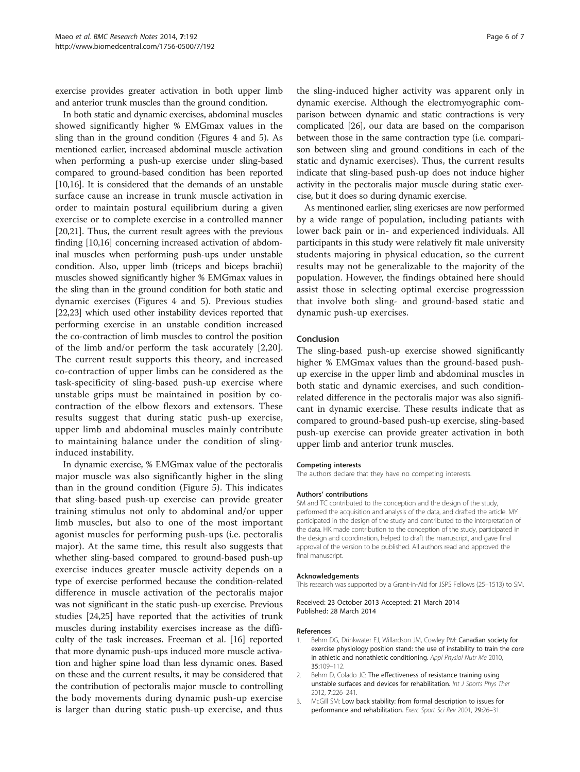<span id="page-5-0"></span>exercise provides greater activation in both upper limb and anterior trunk muscles than the ground condition.

In both static and dynamic exercises, abdominal muscles showed significantly higher % EMGmax values in the sling than in the ground condition (Figures [4](#page-4-0) and [5\)](#page-4-0). As mentioned earlier, increased abdominal muscle activation when performing a push-up exercise under sling-based compared to ground-based condition has been reported [[10,16](#page-6-0)]. It is considered that the demands of an unstable surface cause an increase in trunk muscle activation in order to maintain postural equilibrium during a given exercise or to complete exercise in a controlled manner [[20,21](#page-6-0)]. Thus, the current result agrees with the previous finding [\[10,16](#page-6-0)] concerning increased activation of abdominal muscles when performing push-ups under unstable condition. Also, upper limb (triceps and biceps brachii) muscles showed significantly higher % EMGmax values in the sling than in the ground condition for both static and dynamic exercises (Figures [4](#page-4-0) and [5](#page-4-0)). Previous studies [[22,23](#page-6-0)] which used other instability devices reported that performing exercise in an unstable condition increased the co-contraction of limb muscles to control the position of the limb and/or perform the task accurately [2[,20](#page-6-0)]. The current result supports this theory, and increased co-contraction of upper limbs can be considered as the task-specificity of sling-based push-up exercise where unstable grips must be maintained in position by cocontraction of the elbow flexors and extensors. These results suggest that during static push-up exercise, upper limb and abdominal muscles mainly contribute to maintaining balance under the condition of slinginduced instability.

In dynamic exercise, % EMGmax value of the pectoralis major muscle was also significantly higher in the sling than in the ground condition (Figure [5\)](#page-4-0). This indicates that sling-based push-up exercise can provide greater training stimulus not only to abdominal and/or upper limb muscles, but also to one of the most important agonist muscles for performing push-ups (i.e. pectoralis major). At the same time, this result also suggests that whether sling-based compared to ground-based push-up exercise induces greater muscle activity depends on a type of exercise performed because the condition-related difference in muscle activation of the pectoralis major was not significant in the static push-up exercise. Previous studies [[24,25\]](#page-6-0) have reported that the activities of trunk muscles during instability exercises increase as the difficulty of the task increases. Freeman et al. [\[16](#page-6-0)] reported that more dynamic push-ups induced more muscle activation and higher spine load than less dynamic ones. Based on these and the current results, it may be considered that the contribution of pectoralis major muscle to controlling the body movements during dynamic push-up exercise is larger than during static push-up exercise, and thus

the sling-induced higher activity was apparent only in dynamic exercise. Although the electromyographic comparison between dynamic and static contractions is very complicated [\[26\]](#page-6-0), our data are based on the comparison between those in the same contraction type (i.e. comparison between sling and ground conditions in each of the static and dynamic exercises). Thus, the current results indicate that sling-based push-up does not induce higher activity in the pectoralis major muscle during static exercise, but it does so during dynamic exercise.

As mentinoned earlier, sling exericses are now performed by a wide range of population, including patiants with lower back pain or in- and experienced individuals. All participants in this study were relatively fit male university students majoring in physical education, so the current results may not be generalizable to the majority of the population. However, the findings obtained here should assist those in selecting optimal exercise progresssion that involve both sling- and ground-based static and dynamic push-up exercises.

#### Conclusion

The sling-based push-up exercise showed significantly higher % EMGmax values than the ground-based pushup exercise in the upper limb and abdominal muscles in both static and dynamic exercises, and such conditionrelated difference in the pectoralis major was also significant in dynamic exercise. These results indicate that as compared to ground-based push-up exercise, sling-based push-up exercise can provide greater activation in both upper limb and anterior trunk muscles.

#### Competing interests

The authors declare that they have no competing interests.

#### Authors' contributions

SM and TC contributed to the conception and the design of the study, performed the acquisition and analysis of the data, and drafted the article. MY participated in the design of the study and contributed to the interpretation of the data. HK made contribution to the conception of the study, participated in the design and coordination, helped to draft the manuscript, and gave final approval of the version to be published. All authors read and approved the final manuscript.

#### Acknowledgements

This research was supported by a Grant-in-Aid for JSPS Fellows (25–1513) to SM.

Received: 23 October 2013 Accepted: 21 March 2014 Published: 28 March 2014

#### References

- 1. Behm DG, Drinkwater EJ, Willardson JM, Cowley PM: Canadian society for exercise physiology position stand: the use of instability to train the core in athletic and nonathletic conditioning. Appl Physiol Nutr Me 2010, 35:109–112.
- 2. Behm D, Colado JC: The effectiveness of resistance training using unstable surfaces and devices for rehabilitation. Int J Sports Phys Ther 2012, 7:226–241.
- 3. McGill SM: Low back stability: from formal description to issues for performance and rehabilitation. Exerc Sport Sci Rev 2001, 29:26–31.